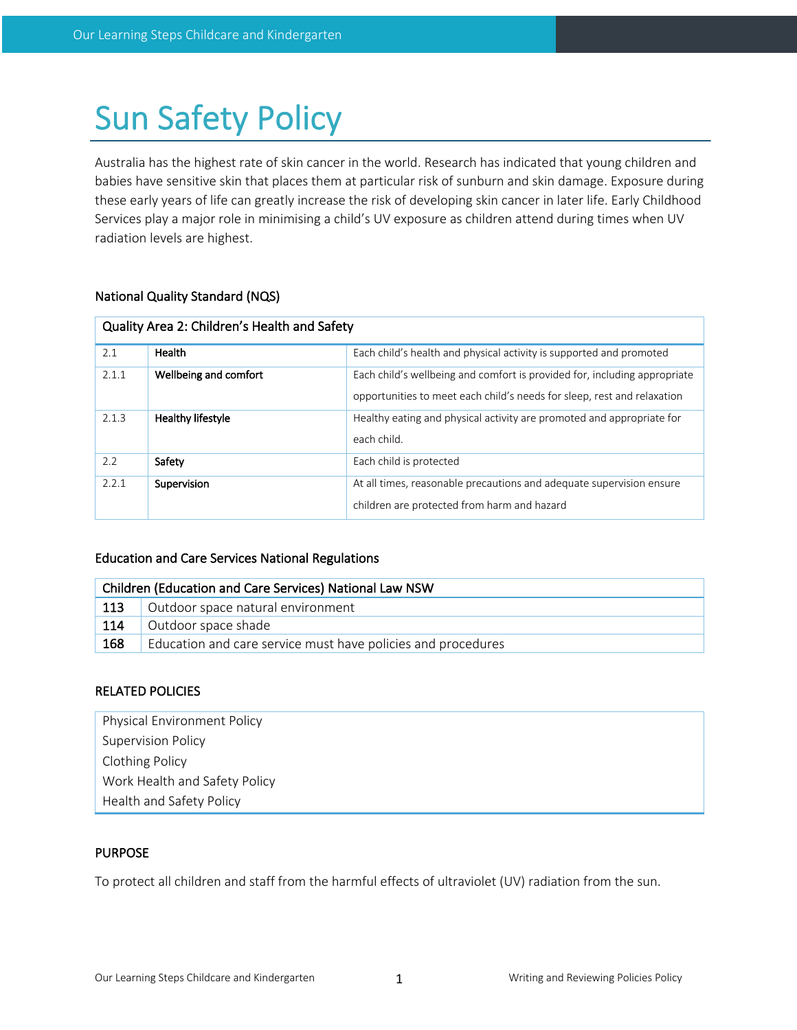# Sun Safety Policy

Australia has the highest rate of skin cancer in the world. Research has indicated that young children and babies have sensitive skin that places them at particular risk of sunburn and skin damage. Exposure during these early years of life can greatly increase the risk of developing skin cancer in later life. Early Childhood Services play a major role in minimising a child's UV exposure as children attend during times when UV radiation levels are highest.

# National Quality Standard (NQS)

| Quality Area 2: Children's Health and Safety |                       |                                                                                                                                                      |  |  |
|----------------------------------------------|-----------------------|------------------------------------------------------------------------------------------------------------------------------------------------------|--|--|
| 2.1                                          | Health                | Each child's health and physical activity is supported and promoted                                                                                  |  |  |
| 2.1.1                                        | Wellbeing and comfort | Each child's wellbeing and comfort is provided for, including appropriate<br>opportunities to meet each child's needs for sleep, rest and relaxation |  |  |
| 2.1.3                                        | Healthy lifestyle     | Healthy eating and physical activity are promoted and appropriate for<br>each child.                                                                 |  |  |
| 2.2                                          | Safety                | Each child is protected                                                                                                                              |  |  |
| 2.2.1                                        | Supervision           | At all times, reasonable precautions and adequate supervision ensure<br>children are protected from harm and hazard                                  |  |  |

# Education and Care Services National Regulations

| Children (Education and Care Services) National Law NSW |                                                              |  |  |
|---------------------------------------------------------|--------------------------------------------------------------|--|--|
| 113                                                     | Outdoor space natural environment                            |  |  |
| 114                                                     | Outdoor space shade                                          |  |  |
| 168                                                     | Education and care service must have policies and procedures |  |  |

# RELATED POLICIES

| <b>Physical Environment Policy</b> |
|------------------------------------|
| <b>Supervision Policy</b>          |
| <b>Clothing Policy</b>             |
| Work Health and Safety Policy      |
| Health and Safety Policy           |

# PURPOSE

To protect all children and staff from the harmful effects of ultraviolet (UV) radiation from the sun.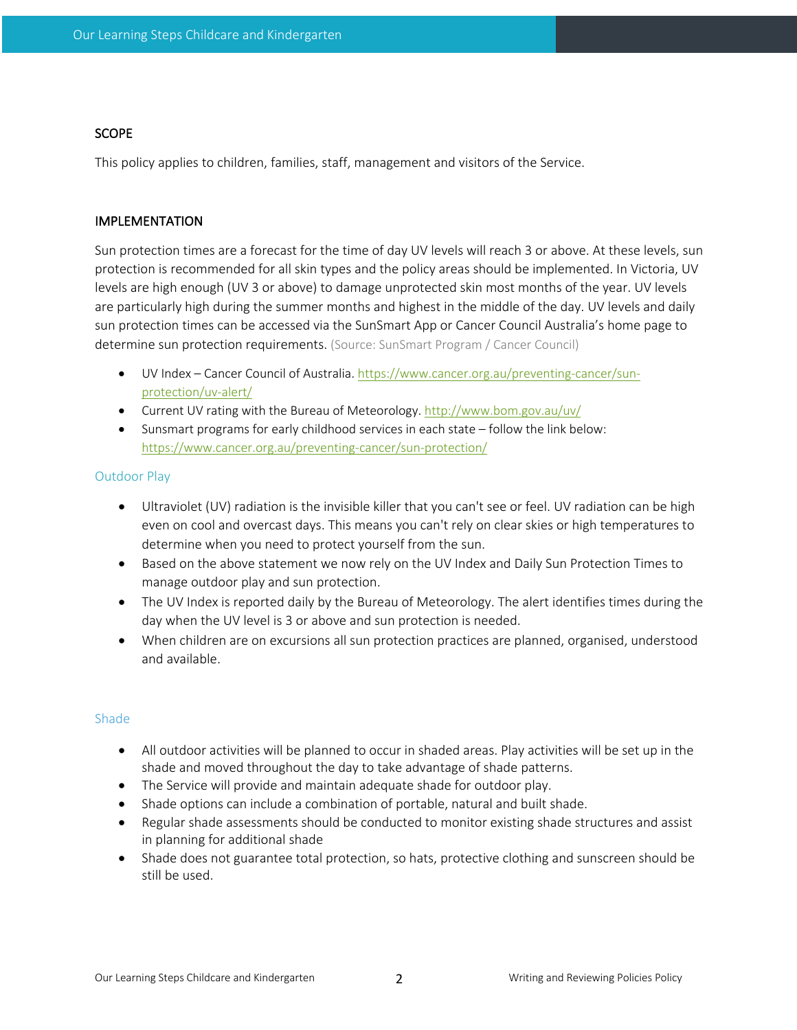# **SCOPE**

This policy applies to children, families, staff, management and visitors of the Service.

# IMPLEMENTATION

Sun protection times are a forecast for the time of day UV levels will reach 3 or above. At these levels, sun protection is recommended for all skin types and the policy areas should be implemented. In Victoria, UV levels are high enough (UV 3 or above) to damage unprotected skin most months of the year. UV levels are particularly high during the summer months and highest in the middle of the day. UV levels and daily sun protection times can be accessed via the SunSmart App or Cancer Council Australia's home page to determine sun protection requirements. (Source: SunSmart Program / Cancer Council)

- UV Index Cancer Council of Australia. https://www.cancer.org.au/preventing-cancer/sunprotection/uv-alert/
- Current UV rating with the Bureau of Meteorology. http://www.bom.gov.au/uv/
- Sunsmart programs for early childhood services in each state follow the link below: https://www.cancer.org.au/preventing-cancer/sun-protection/

# Outdoor Play

- Ultraviolet (UV) radiation is the invisible killer that you can't see or feel. UV radiation can be high even on cool and overcast days. This means you can't rely on clear skies or high temperatures to determine when you need to protect yourself from the sun.
- Based on the above statement we now rely on the UV Index and Daily Sun Protection Times to manage outdoor play and sun protection.
- The UV Index is reported daily by the Bureau of Meteorology. The alert identifies times during the day when the UV level is 3 or above and sun protection is needed.
- When children are on excursions all sun protection practices are planned, organised, understood and available.

## Shade

- All outdoor activities will be planned to occur in shaded areas. Play activities will be set up in the shade and moved throughout the day to take advantage of shade patterns.
- The Service will provide and maintain adequate shade for outdoor play.
- Shade options can include a combination of portable, natural and built shade.
- Regular shade assessments should be conducted to monitor existing shade structures and assist in planning for additional shade
- Shade does not guarantee total protection, so hats, protective clothing and sunscreen should be still be used.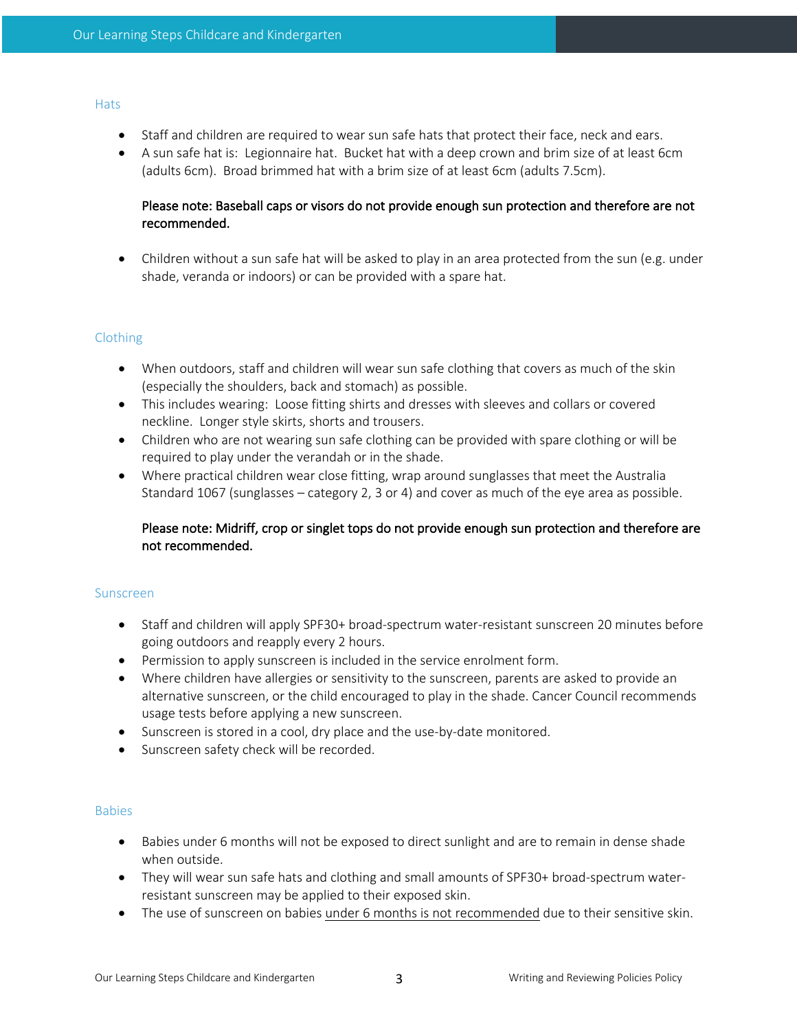#### **Hats**

- Staff and children are required to wear sun safe hats that protect their face, neck and ears.
- A sun safe hat is: Legionnaire hat. Bucket hat with a deep crown and brim size of at least 6cm (adults 6cm). Broad brimmed hat with a brim size of at least 6cm (adults 7.5cm).

# Please note: Baseball caps or visors do not provide enough sun protection and therefore are not recommended.

• Children without a sun safe hat will be asked to play in an area protected from the sun (e.g. under shade, veranda or indoors) or can be provided with a spare hat.

# Clothing

- When outdoors, staff and children will wear sun safe clothing that covers as much of the skin (especially the shoulders, back and stomach) as possible.
- This includes wearing: Loose fitting shirts and dresses with sleeves and collars or covered neckline. Longer style skirts, shorts and trousers.
- Children who are not wearing sun safe clothing can be provided with spare clothing or will be required to play under the verandah or in the shade.
- Where practical children wear close fitting, wrap around sunglasses that meet the Australia Standard 1067 (sunglasses – category 2, 3 or 4) and cover as much of the eye area as possible.

# Please note: Midriff, crop or singlet tops do not provide enough sun protection and therefore are not recommended.

## Sunscreen

- Staff and children will apply SPF30+ broad-spectrum water-resistant sunscreen 20 minutes before going outdoors and reapply every 2 hours.
- Permission to apply sunscreen is included in the service enrolment form.
- Where children have allergies or sensitivity to the sunscreen, parents are asked to provide an alternative sunscreen, or the child encouraged to play in the shade. Cancer Council recommends usage tests before applying a new sunscreen.
- Sunscreen is stored in a cool, dry place and the use-by-date monitored.
- Sunscreen safety check will be recorded.

## **Babies**

- Babies under 6 months will not be exposed to direct sunlight and are to remain in dense shade when outside.
- They will wear sun safe hats and clothing and small amounts of SPF30+ broad-spectrum waterresistant sunscreen may be applied to their exposed skin.
- The use of sunscreen on babies under 6 months is not recommended due to their sensitive skin.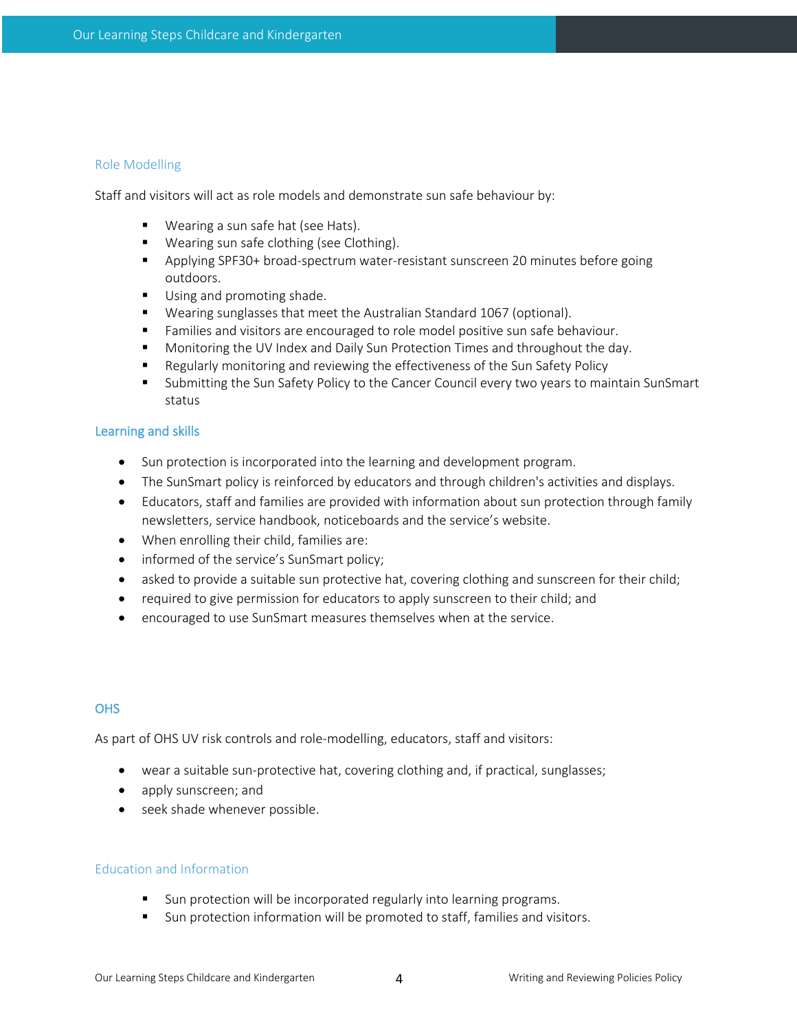## Role Modelling

Staff and visitors will act as role models and demonstrate sun safe behaviour by:

- Wearing a sun safe hat (see Hats).
- Wearing sun safe clothing (see Clothing).
- § Applying SPF30+ broad-spectrum water-resistant sunscreen 20 minutes before going outdoors.
- Using and promoting shade.
- Wearing sunglasses that meet the Australian Standard 1067 (optional).
- **•** Families and visitors are encouraged to role model positive sun safe behaviour.
- Monitoring the UV Index and Daily Sun Protection Times and throughout the day.
- Regularly monitoring and reviewing the effectiveness of the Sun Safety Policy
- § Submitting the Sun Safety Policy to the Cancer Council every two years to maintain SunSmart status

## Learning and skills

- Sun protection is incorporated into the learning and development program.
- The SunSmart policy is reinforced by educators and through children's activities and displays.
- Educators, staff and families are provided with information about sun protection through family newsletters, service handbook, noticeboards and the service's website.
- When enrolling their child, families are:
- informed of the service's SunSmart policy;
- asked to provide a suitable sun protective hat, covering clothing and sunscreen for their child;
- required to give permission for educators to apply sunscreen to their child; and
- encouraged to use SunSmart measures themselves when at the service.

# **OHS**

As part of OHS UV risk controls and role-modelling, educators, staff and visitors:

- wear a suitable sun-protective hat, covering clothing and, if practical, sunglasses;
- apply sunscreen; and
- seek shade whenever possible.

## Education and Information

- Sun protection will be incorporated regularly into learning programs.
- Sun protection information will be promoted to staff, families and visitors.